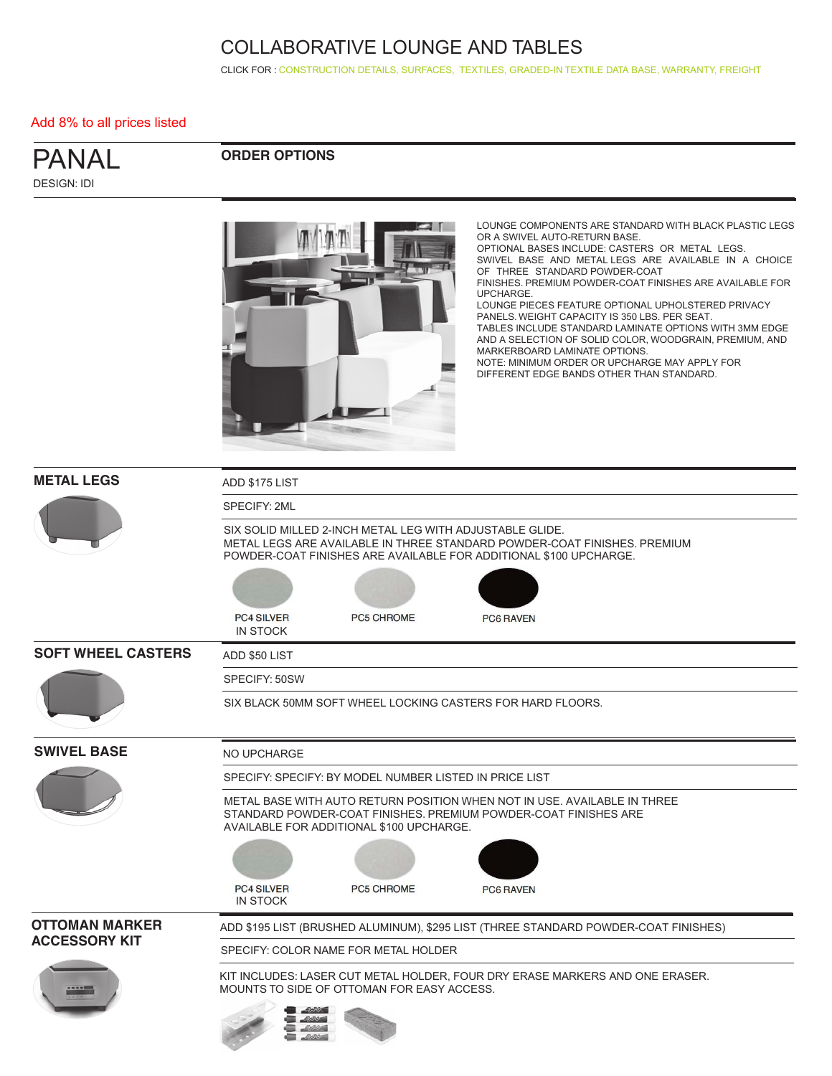CLICK FOR : [CONSTRUCTION DETAILS,](http://www.ekocontract.com/collaborative-seating/panal-collaborative) [SURFACES,](http://www.ekocontract.com/surfaces) [TEXTILES,](http://www.ekocontract.com/fabrics) [GRADED-IN TEXTILE DATA BASE,](http://www.ekocontract.com/resources/surface-materials/surface-materials-database) [WARRANTY, FREIGHT](http://www.ekocontract.com/files/resources/2015_EKO_Terms__Conditions.pdf)

#### Add 8% to all prices listed

| <b>PANAL</b>       |  |  |
|--------------------|--|--|
| <b>DESIGN: IDI</b> |  |  |

### **ORDER OPTIONS**



LOUNGE COMPONENTS ARE STANDARD WITH BLACK PLASTIC LEGS OR A SWIVEL AUTO-RETURN BASE. OPTIONAL BASES INCLUDE: CASTERS OR METAL LEGS. SWIVEL BASE AND METAL LEGS ARE AVAILABLE IN A CHOICE OF THREE STANDARD POWDER-COAT FINISHES. PREMIUM POWDER-COAT FINISHES ARE AVAILABLE FOR UPCHARGE. LOUNGE PIECES FEATURE OPTIONAL UPHOLSTERED PRIVACY PANELS. WEIGHT CAPACITY IS 350 LBS. PER SEAT. TABLES INCLUDE STANDARD LAMINATE OPTIONS WITH 3MM EDGE AND A SELECTION OF SOLID COLOR, WOODGRAIN, PREMIUM, AND MARKERBOARD LAMINATE OPTIONS. NOTE: MINIMUM ORDER OR UPCHARGE MAY APPLY FOR DIFFERENT EDGE BANDS OTHER THAN STANDARD.

| <b>METAL LEGS</b>         | ADD \$175 LIST                                                                                                                                                                                            |  |  |  |  |  |  |  |
|---------------------------|-----------------------------------------------------------------------------------------------------------------------------------------------------------------------------------------------------------|--|--|--|--|--|--|--|
|                           | SPECIFY: 2ML                                                                                                                                                                                              |  |  |  |  |  |  |  |
|                           | SIX SOLID MILLED 2-INCH METAL LEG WITH ADJUSTABLE GLIDE.<br>METAL LEGS ARE AVAILABLE IN THREE STANDARD POWDER-COAT FINISHES. PREMIUM<br>POWDER-COAT FINISHES ARE AVAILABLE FOR ADDITIONAL \$100 UPCHARGE. |  |  |  |  |  |  |  |
|                           |                                                                                                                                                                                                           |  |  |  |  |  |  |  |
|                           | <b>PC4 SILVER</b><br>PC5 CHROME<br><b>PC6 RAVEN</b><br><b>IN STOCK</b>                                                                                                                                    |  |  |  |  |  |  |  |
| <b>SOFT WHEEL CASTERS</b> | ADD \$50 LIST                                                                                                                                                                                             |  |  |  |  |  |  |  |
|                           | SPECIFY: 50SW                                                                                                                                                                                             |  |  |  |  |  |  |  |
|                           | SIX BLACK 50MM SOFT WHEEL LOCKING CASTERS FOR HARD FLOORS.                                                                                                                                                |  |  |  |  |  |  |  |
| <b>SWIVEL BASE</b>        | NO UPCHARGE                                                                                                                                                                                               |  |  |  |  |  |  |  |
|                           | SPECIFY: SPECIFY: BY MODEL NUMBER LISTED IN PRICE LIST                                                                                                                                                    |  |  |  |  |  |  |  |
|                           | METAL BASE WITH AUTO RETURN POSITION WHEN NOT IN USE. AVAILABLE IN THREE<br>STANDARD POWDER-COAT FINISHES, PREMIUM POWDER-COAT FINISHES ARE<br>AVAILABLE FOR ADDITIONAL \$100 UPCHARGE.                   |  |  |  |  |  |  |  |
|                           |                                                                                                                                                                                                           |  |  |  |  |  |  |  |
|                           | <b>PC4 SILVER</b><br><b>PC5 CHROME</b><br><b>PC6 RAVEN</b><br><b>IN STOCK</b>                                                                                                                             |  |  |  |  |  |  |  |
| <b>OTTOMAN MARKER</b>     | ADD \$195 LIST (BRUSHED ALUMINUM), \$295 LIST (THREE STANDARD POWDER-COAT FINISHES)                                                                                                                       |  |  |  |  |  |  |  |
| <b>ACCESSORY KIT</b>      | SPECIFY: COLOR NAME FOR METAL HOLDER                                                                                                                                                                      |  |  |  |  |  |  |  |
|                           | KIT INCLUDES: LASER CUT METAL HOLDER, FOUR DRY ERASE MARKERS AND ONE ERASER.<br>MOUNTS TO SIDE OF OTTOMAN FOR EASY ACCESS.                                                                                |  |  |  |  |  |  |  |
|                           |                                                                                                                                                                                                           |  |  |  |  |  |  |  |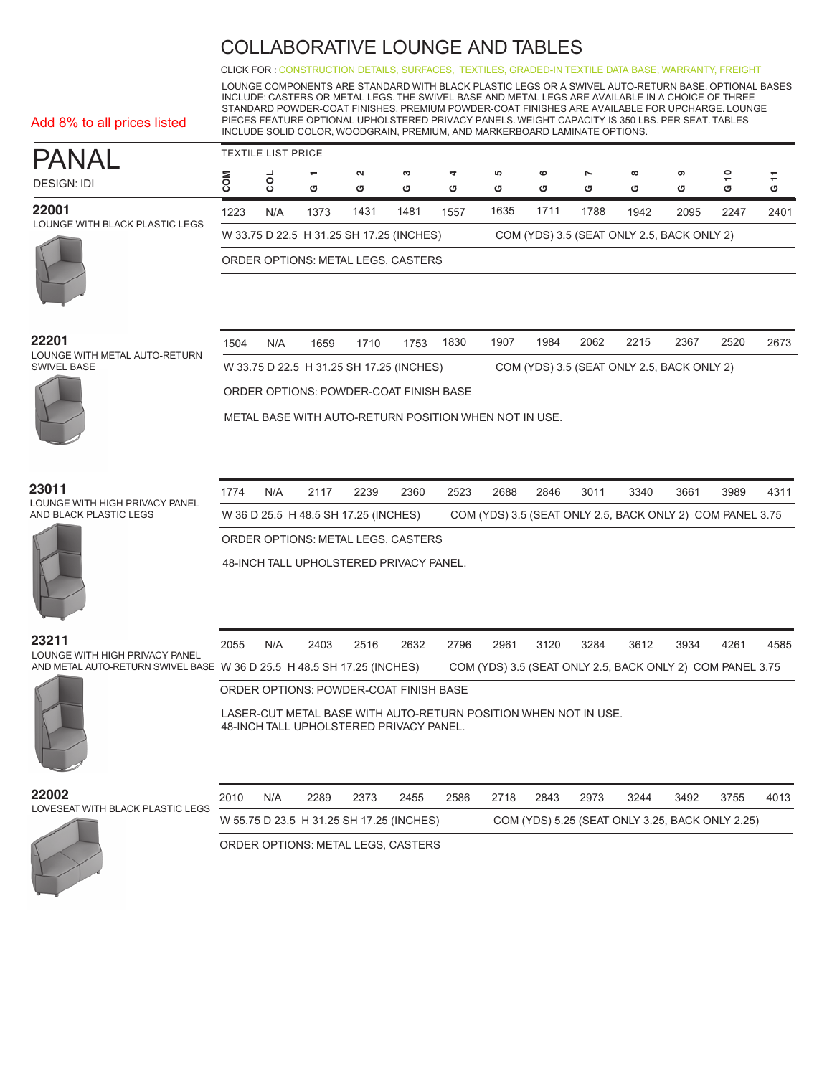CLICK FOR : [CONSTRUCTION DETAILS,](http://www.ekocontract.com/collaborative-seating/panal-collaborative) [SURFACES,](http://www.ekocontract.com/surfaces) [TEXTILES,](http://www.ekocontract.com/fabrics) [GRADED-IN TEXTILE DATA BASE,](http://www.ekocontract.com/resources/surface-materials/surface-materials-database) [WARRANTY, FREIGHT](http://www.ekocontract.com/files/resources/2015_EKO_Terms__Conditions.pdf)

LOUNGE COMPONENTS ARE STANDARD WITH BLACK PLASTIC LEGS OR A SWIVEL AUTO-RETURN BASE. OPTIONAL BASES INCLUDE: CASTERS OR METAL LEGS. THE SWIVEL BASE AND METAL LEGS ARE AVAILABLE IN A CHOICE OF THREE STANDARD POWDER-COAT FINISHES. PREMIUM POWDER-COAT FINISHES ARE AVAILABLE FOR UPCHARGE. LOUNGE PIECES FEATURE OPTIONAL UPHOLSTERED PRIVACY PANELS. WEIGHT CAPACITY IS 350 LBS. PER SEAT. TABLES INCLUDE SOLID COLOR, WOODGRAIN, PREMIUM, AND MARKERBOARD LAMINATE OPTIONS.

| PANAL                                   | <b>TEXTILE LIST PRICE</b>                                                              |         |                          |        |      |      |      |         |                |          |      |         |      |
|-----------------------------------------|----------------------------------------------------------------------------------------|---------|--------------------------|--------|------|------|------|---------|----------------|----------|------|---------|------|
|                                         |                                                                                        |         | $\overline{\phantom{0}}$ | $\sim$ | ຕ    | 4    | 5    | $\circ$ | $\overline{ }$ | $\infty$ | ග    | $\circ$ |      |
| <b>DESIGN: IDI</b>                      |                                                                                        | $\circ$ | σ                        | U      | σ    | O    | ය    | ত       | ত              | ග        | σ    | σ       | ৩    |
| 22001<br>LOUNGE WITH BLACK PLASTIC LEGS | 1223                                                                                   | N/A     | 1373                     | 1431   | 1481 | 1557 | 1635 | 1711    | 1788           | 1942     | 2095 | 2247    | 2401 |
|                                         | W 33.75 D 22.5 H 31.25 SH 17.25 (INCHES)<br>COM (YDS) 3.5 (SEAT ONLY 2.5, BACK ONLY 2) |         |                          |        |      |      |      |         |                |          |      |         |      |
|                                         | ORDER OPTIONS: METAL LEGS, CASTERS                                                     |         |                          |        |      |      |      |         |                |          |      |         |      |

| 22201<br>LOUNGE WITH METAL AUTO-RETURN | 1504                                   | N/A                                                                                    | 1659 | 1710 | 1753 | 1830 | 1907 | 1984 | 2062 | 2215 | 2367 | 2520 | 2673 |
|----------------------------------------|----------------------------------------|----------------------------------------------------------------------------------------|------|------|------|------|------|------|------|------|------|------|------|
| SWIVEL BASE                            |                                        | W 33.75 D 22.5 H 31.25 SH 17.25 (INCHES)<br>COM (YDS) 3.5 (SEAT ONLY 2.5, BACK ONLY 2) |      |      |      |      |      |      |      |      |      |      |      |
|                                        | ORDER OPTIONS: POWDER-COAT FINISH BASE |                                                                                        |      |      |      |      |      |      |      |      |      |      |      |

METAL BASE WITH AUTO-RETURN POSITION WHEN NOT IN USE.

#### **23011**

LOUNGE WITH HIGH PRIVACY PANEL AND BLACK PLASTIC LEGS

Add 8% to all prices listed

1774 N/A 2117 2239 2360 2523 2688 2846 3011 3340 3661 3989 4311 W 36 D 25.5 H 48.5 SH 17.25 (INCHES) COM (YDS) 3.5 (SEAT ONLY 2.5, BACK ONLY 2) COM PANEL 3.75 ORDER OPTIONS: METAL LEGS, CASTERS

48-INCH TALL UPHOLSTERED PRIVACY PANEL.



2055 N/A 2403 2516 2632 2796 2961 3120 3284 3612 3934 4261 4585 **23211** LOUNGE WITH HIGH PRIVACY PANEL AND METAL AUTO-RETURN SWIVEL BASE W 36 D 25.5 H 48.5 SH 17.25 (INCHES) COM (YDS) 3.5 (SEAT ONLY 2.5, BACK ONLY 2) COM PANEL 3.75 LASER-CUT METAL BASE WITH AUTO-RETURN POSITION WHEN NOT IN USE. 48-INCH TALL UPHOLSTERED PRIVACY PANEL. ORDER OPTIONS: POWDER-COAT FINISH BASE

### **22002** LOVESEAT WITH BLACK PLASTIC LEGS

| UUZ                            | 2010 | N/A | 2289 | 2373 | 2455                                     | 2586 | 2718 | 2843 | 2973 | 3244 | 3492 | 3755                                            | 4013 |
|--------------------------------|------|-----|------|------|------------------------------------------|------|------|------|------|------|------|-------------------------------------------------|------|
| /ESEAT WITH BLACK PLASTIC LEGS |      |     |      |      | W 55.75 D 23.5 H 31.25 SH 17.25 (INCHES) |      |      |      |      |      |      | COM (YDS) 5.25 (SEAT ONLY 3.25, BACK ONLY 2.25) |      |
|                                |      |     |      |      | ORDER OPTIONS: METAL LEGS, CASTERS       |      |      |      |      |      |      |                                                 |      |
|                                |      |     |      |      |                                          |      |      |      |      |      |      |                                                 |      |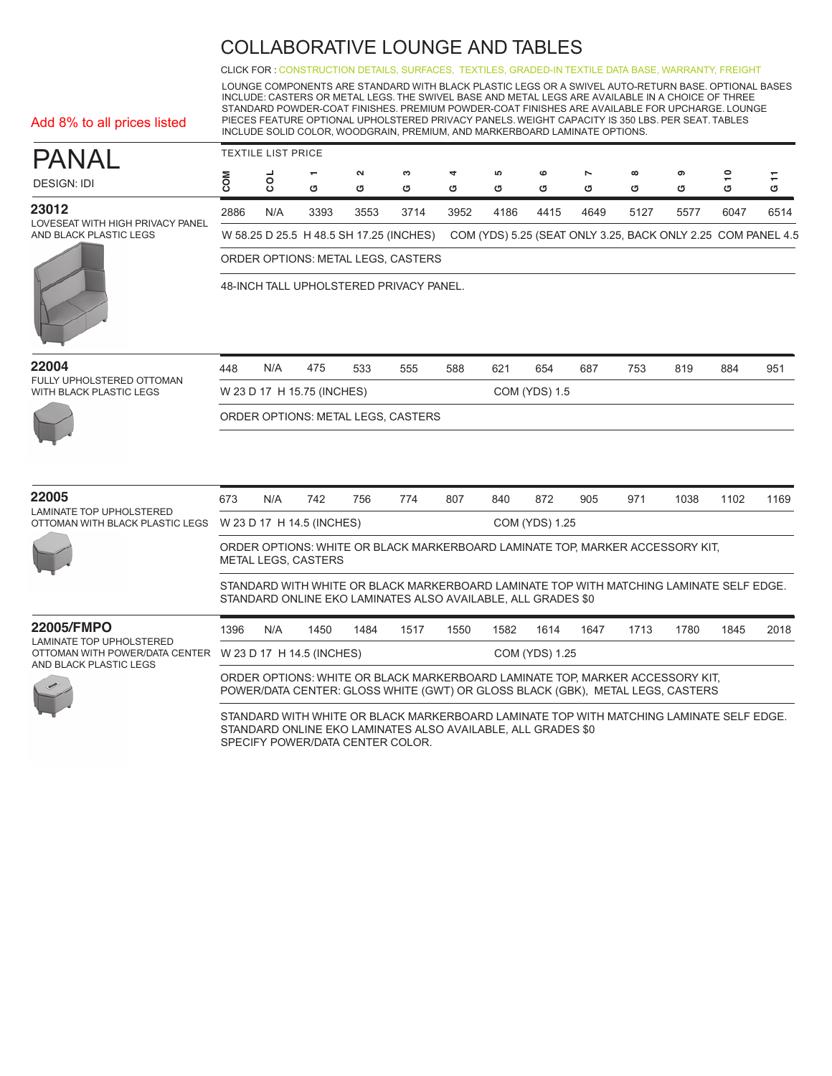CLICK FOR : [CONSTRUCTION DETAILS,](http://www.ekocontract.com/collaborative-seating/panal-collaborative) [SURFACES,](http://www.ekocontract.com/surfaces) [TEXTILES,](http://www.ekocontract.com/fabrics) [GRADED-IN TEXTILE DATA BASE,](http://www.ekocontract.com/resources/surface-materials/surface-materials-database) [WARRANTY, FREIGHT](http://www.ekocontract.com/files/resources/2015_EKO_Terms__Conditions.pdf)

LOUNGE COMPONENTS ARE STANDARD WITH BLACK PLASTIC LEGS OR A SWIVEL AUTO-RETURN BASE. OPTIONAL BASES INCLUDE: CASTERS OR METAL LEGS. THE SWIVEL BASE AND METAL LEGS ARE AVAILABLE IN A CHOICE OF THREE STANDARD POWDER-COAT FINISHES. PREMIUM POWDER-COAT FINISHES ARE AVAILABLE FOR UPCHARGE. LOUNGE PIECES FEATURE OPTIONAL UPHOLSTERED PRIVACY PANELS. WEIGHT CAPACITY IS 350 LBS. PER SEAT. TABLES INCLUDE SOLID COLOR, WOODGRAIN, PREMIUM, AND MARKERBOARD LAMINATE OPTIONS.

|  |  |  |  | Add 8% to all prices listed |  |  |
|--|--|--|--|-----------------------------|--|--|
|--|--|--|--|-----------------------------|--|--|

| PANAI                                                               | <b>TEXTILE LIST PRICE</b> |     |                               |             |                                         |        |        |        |                                                              |               |        |        |      |
|---------------------------------------------------------------------|---------------------------|-----|-------------------------------|-------------|-----------------------------------------|--------|--------|--------|--------------------------------------------------------------|---------------|--------|--------|------|
| <b>DESIGN: IDI</b>                                                  |                           |     | $\overline{\phantom{0}}$<br>ග | $\sim$<br>ত | ∾<br>σ                                  | 4<br>৩ | 5<br>σ | ဖ<br>σ | N<br>σ                                                       | $\infty$<br>৩ | ග<br>৩ | ₽<br>৩ | σ    |
| 23012<br>LOVESEAT WITH HIGH PRIVACY PANEL<br>AND BLACK PLASTIC LEGS | 2886                      | N/A | 3393                          | 3553        | 3714                                    | 3952   | 4186   | 4415   | 4649                                                         | 5127          | 5577   | 6047   | 6514 |
|                                                                     |                           |     |                               |             | W 58.25 D 25.5 H 48.5 SH 17.25 (INCHES) |        |        |        | COM (YDS) 5.25 (SEAT ONLY 3.25, BACK ONLY 2.25 COM PANEL 4.5 |               |        |        |      |
|                                                                     |                           |     |                               |             | ORDER OPTIONS METAL LEGS CASTERS        |        |        |        |                                                              |               |        |        |      |



| ORDER OPTIONS: METAL LEGS, CASTERS      |
|-----------------------------------------|
| 48-INCH TALL UPHOLSTERED PRIVACY PANEL. |
|                                         |
|                                         |

| 22004 | 448 |  |  |  |  | N/A 475 533 555 588 621 654 687 753 819 884 951 |  |  |
|-------|-----|--|--|--|--|-------------------------------------------------|--|--|
|       |     |  |  |  |  |                                                 |  |  |

FULLY UPHOLSTERED OTTOMAN WITH BLACK PLASTIC LEGS



| TULLET UFTIVESTENED OTTOMAN<br><b>WITH BLACK PLASTIC LEGS</b>               |                                                                                                                                                                 |                                             | W 23 D 17 H 15.75 (INCHES) |      |                                                              |      |      | <b>COM (YDS) 1.5</b> |      |                                                                                         |      |      |      |
|-----------------------------------------------------------------------------|-----------------------------------------------------------------------------------------------------------------------------------------------------------------|---------------------------------------------|----------------------------|------|--------------------------------------------------------------|------|------|----------------------|------|-----------------------------------------------------------------------------------------|------|------|------|
|                                                                             |                                                                                                                                                                 |                                             |                            |      | ORDER OPTIONS: METAL LEGS, CASTERS                           |      |      |                      |      |                                                                                         |      |      |      |
|                                                                             |                                                                                                                                                                 |                                             |                            |      |                                                              |      |      |                      |      |                                                                                         |      |      |      |
| 22005<br><b>LAMINATE TOP UPHOLSTERED</b><br>OTTOMAN WITH BLACK PLASTIC LEGS | 673                                                                                                                                                             | N/A                                         | 742                        | 756  | 774                                                          | 807  | 840  | 872                  | 905  | 971                                                                                     | 1038 | 1102 | 1169 |
|                                                                             |                                                                                                                                                                 | COM (YDS) 1.25<br>W 23 D 17 H 14.5 (INCHES) |                            |      |                                                              |      |      |                      |      |                                                                                         |      |      |      |
|                                                                             | ORDER OPTIONS: WHITE OR BLACK MARKERBOARD LAMINATE TOP, MARKER ACCESSORY KIT,<br>METAL LEGS, CASTERS                                                            |                                             |                            |      |                                                              |      |      |                      |      |                                                                                         |      |      |      |
|                                                                             |                                                                                                                                                                 |                                             |                            |      | STANDARD ONLINE EKO LAMINATES ALSO AVAILABLE, ALL GRADES \$0 |      |      |                      |      | STANDARD WITH WHITE OR BLACK MARKERBOARD LAMINATE TOP WITH MATCHING LAMINATE SELF EDGE. |      |      |      |
| 22005/FMPO                                                                  | 1396                                                                                                                                                            | N/A                                         | 1450                       | 1484 | 1517                                                         | 1550 | 1582 | 1614                 | 1647 | 1713                                                                                    | 1780 | 1845 | 2018 |
| <b>LAMINATE TOP UPHOLSTERED</b><br>OTTOMAN WITH POWER/DATA CENTER           |                                                                                                                                                                 |                                             | W 23 D 17 H 14.5 (INCHES)  |      |                                                              |      |      | COM (YDS) 1.25       |      |                                                                                         |      |      |      |
| AND BLACK PLASTIC LEGS                                                      | ORDER OPTIONS: WHITE OR BLACK MARKERBOARD LAMINATE TOP, MARKER ACCESSORY KIT,<br>POWER/DATA CENTER: GLOSS WHITE (GWT) OR GLOSS BLACK (GBK), METAL LEGS, CASTERS |                                             |                            |      |                                                              |      |      |                      |      |                                                                                         |      |      |      |

STANDARD WITH WHITE OR BLACK MARKERBOARD LAMINATE TOP WITH MATCHING LAMINATE SELF EDGE. STANDARD ONLINE EKO LAMINATES ALSO AVAILABLE, ALL GRADES \$0 SPECIFY POWER/DATA CENTER COLOR.